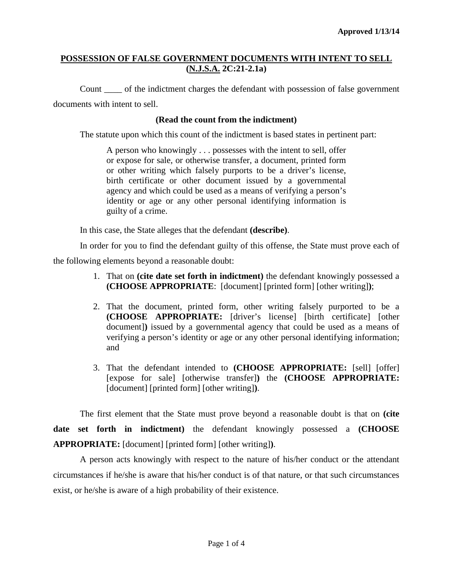### **POSSESSION OF FALSE GOVERNMENT DOCUMENTS WITH INTENT TO SELL (N.J.S.A. 2C:21-2.1a)**

Count \_\_\_\_ of the indictment charges the defendant with possession of false government documents with intent to sell.

#### **(Read the count from the indictment)**

The statute upon which this count of the indictment is based states in pertinent part:

A person who knowingly . . . possesses with the intent to sell, offer or expose for sale, or otherwise transfer, a document, printed form or other writing which falsely purports to be a driver's license, birth certificate or other document issued by a governmental agency and which could be used as a means of verifying a person's identity or age or any other personal identifying information is guilty of a crime.

In this case, the State alleges that the defendant **(describe)**.

In order for you to find the defendant guilty of this offense, the State must prove each of

the following elements beyond a reasonable doubt:

- 1. That on **(cite date set forth in indictment)** the defendant knowingly possessed a **(CHOOSE APPROPRIATE**: [document] [printed form] [other writing]**)**;
- 2. That the document, printed form, other writing falsely purported to be a **(CHOOSE APPROPRIATE:** [driver's license] [birth certificate] [other document]**)** issued by a governmental agency that could be used as a means of verifying a person's identity or age or any other personal identifying information; and
- 3. That the defendant intended to **(CHOOSE APPROPRIATE:** [sell] [offer] [expose for sale] [otherwise transfer]**)** the **(CHOOSE APPROPRIATE:** [document] [printed form] [other writing]**)**.

The first element that the State must prove beyond a reasonable doubt is that on **(cite date set forth in indictment)** the defendant knowingly possessed a **(CHOOSE APPROPRIATE:** [document] [printed form] [other writing]**)**.

<span id="page-0-0"></span>A person acts knowingly with respect to the nature of his/her conduct or the attendant circumstances if he/she is aware that his/her conduct is of that nature, or that such circumstances exist, or he/she is aware of a high probability of their existence.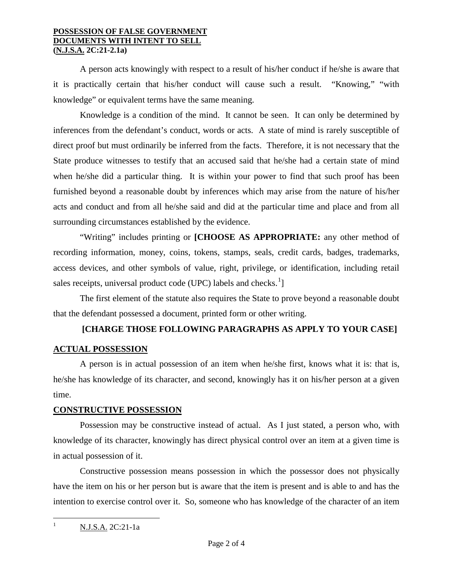#### **POSSESSION OF FALSE GOVERNMENT DOCUMENTS WITH INTENT TO SELL (N.J.S.A. 2C:21-2.1a)**

A person acts knowingly with respect to a result of his/her conduct if he/she is aware that it is practically certain that his/her conduct will cause such a result. "Knowing," "with knowledge" or equivalent terms have the same meaning.

Knowledge is a condition of the mind. It cannot be seen. It can only be determined by inferences from the defendant's conduct, words or acts. A state of mind is rarely susceptible of direct proof but must ordinarily be inferred from the facts. Therefore, it is not necessary that the State produce witnesses to testify that an accused said that he/she had a certain state of mind when he/she did a particular thing. It is within your power to find that such proof has been furnished beyond a reasonable doubt by inferences which may arise from the nature of his/her acts and conduct and from all he/she said and did at the particular time and place and from all surrounding circumstances established by the evidence.

"Writing" includes printing or **[CHOOSE AS APPROPRIATE:** any other method of recording information, money, coins, tokens, stamps, seals, credit cards, badges, trademarks, access devices, and other symbols of value, right, privilege, or identification, including retail sales receipts, universal product code (UPC) labels and checks.<sup>[1](#page-0-0)</sup>]

The first element of the statute also requires the State to prove beyond a reasonable doubt that the defendant possessed a document, printed form or other writing.

# **[CHARGE THOSE FOLLOWING PARAGRAPHS AS APPLY TO YOUR CASE]**

### **ACTUAL POSSESSION**

A person is in actual possession of an item when he/she first, knows what it is: that is, he/she has knowledge of its character, and second, knowingly has it on his/her person at a given time.

### **CONSTRUCTIVE POSSESSION**

Possession may be constructive instead of actual. As I just stated, a person who, with knowledge of its character, knowingly has direct physical control over an item at a given time is in actual possession of it.

Constructive possession means possession in which the possessor does not physically have the item on his or her person but is aware that the item is present and is able to and has the intention to exercise control over it. So, someone who has knowledge of the character of an item

<span id="page-1-0"></span><sup>&</sup>lt;sup>1</sup> N.J.S.A. 2C:21-1a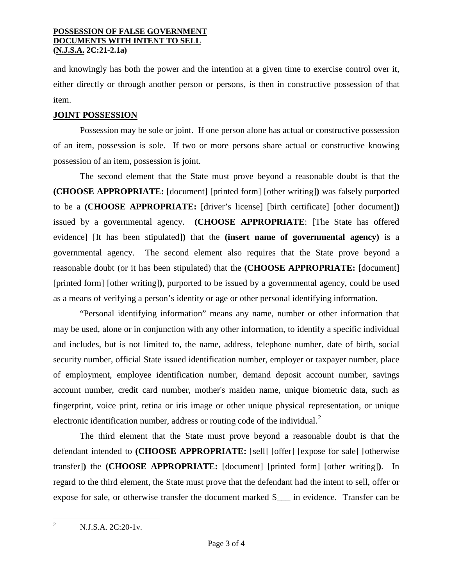#### **POSSESSION OF FALSE GOVERNMENT DOCUMENTS WITH INTENT TO SELL (N.J.S.A. 2C:21-2.1a)**

and knowingly has both the power and the intention at a given time to exercise control over it, either directly or through another person or persons, is then in constructive possession of that item.

## **JOINT POSSESSION**

Possession may be sole or joint. If one person alone has actual or constructive possession of an item, possession is sole. If two or more persons share actual or constructive knowing possession of an item, possession is joint.

The second element that the State must prove beyond a reasonable doubt is that the **(CHOOSE APPROPRIATE:** [document] [printed form] [other writing]**)** was falsely purported to be a **(CHOOSE APPROPRIATE:** [driver's license] [birth certificate] [other document]**)** issued by a governmental agency. **(CHOOSE APPROPRIATE**: [The State has offered evidence] [It has been stipulated]**)** that the **(insert name of governmental agency)** is a governmental agency. The second element also requires that the State prove beyond a reasonable doubt (or it has been stipulated) that the **(CHOOSE APPROPRIATE:** [document] [printed form] [other writing]**)**, purported to be issued by a governmental agency, could be used as a means of verifying a person's identity or age or other personal identifying information.

"Personal identifying information" means any name, number or other information that may be used, alone or in conjunction with any other information, to identify a specific individual and includes, but is not limited to, the name, address, telephone number, date of birth, social security number, official State issued identification number, employer or taxpayer number, place of employment, employee identification number, demand deposit account number, savings account number, credit card number, mother's maiden name, unique biometric data, such as fingerprint, voice print, retina or iris image or other unique physical representation, or unique electronic identification number, address or routing code of the individual.<sup>[2](#page-1-0)</sup>

The third element that the State must prove beyond a reasonable doubt is that the defendant intended to **(CHOOSE APPROPRIATE:** [sell] [offer] [expose for sale] [otherwise transfer]**)** the **(CHOOSE APPROPRIATE:** [document] [printed form] [other writing]**)**. In regard to the third element, the State must prove that the defendant had the intent to sell, offer or expose for sale, or otherwise transfer the document marked S\_\_\_ in evidence. Transfer can be

<sup>&</sup>lt;sup>2</sup> N.J.S.A. 2C:20-1v.